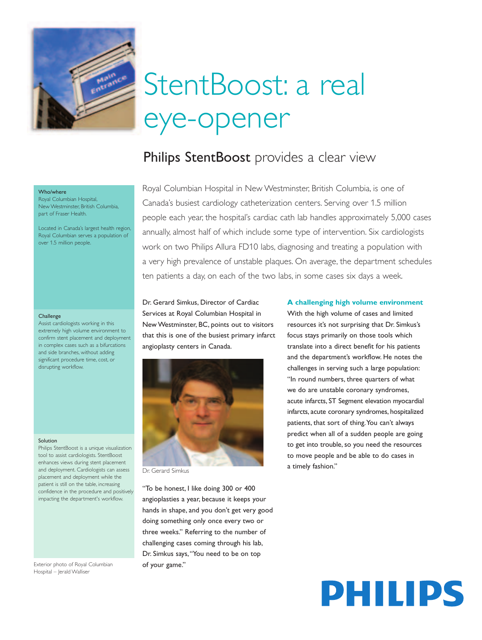

# StentBoost: a real eye-opener

# Philips StentBoost provides a clear view

#### Who/where

Royal Columbian Hospital, New Westminster, British Columbia, part of Fraser Health.

Located in Canada's largest health region, Royal Columbian serves a population of over 1.5 million people.

#### Challenge

Assist cardiologists working in this extremely high volume environment to confirm stent placement and deployment in complex cases such as a bifurcations and side branches, without adding significant procedure time, cost, or disrupting workflow.

### Solution

Philips StentBoost is a unique visualization tool to assist cardiologists. StentBoost enhances views during stent placement and deployment. Cardiologists can assess placement and deployment while the patient is still on the table, increasing confidence in the procedure and positively impacting the department's workflow.

Exterior photo of Royal Columbian Hospital – Jerald Walliser

Royal Columbian Hospital in New Westminster, British Columbia, is one of Canada's busiest cardiology catheterization centers. Serving over 1.5 million people each year, the hospital's cardiac cath lab handles approximately 5,000 cases annually, almost half of which include some type of intervention. Six cardiologists work on two Philips Allura FD10 labs, diagnosing and treating a population with a very high prevalence of unstable plaques. On average, the department schedules ten patients a day, on each of the two labs, in some cases six days a week.

Dr. Gerard Simkus, Director of Cardiac Services at Royal Columbian Hospital in New Westminster, BC, points out to visitors that this is one of the busiest primary infarct angioplasty centers in Canada.



"To be honest, I like doing 300 or 400 angioplasties a year, because it keeps your hands in shape, and you don't get very good doing something only once every two or three weeks." Referring to the number of challenging cases coming through his lab, Dr. Simkus says,"You need to be on top of your game."

### **A challenging high volume environment**

With the high volume of cases and limited resources it's not surprising that Dr. Simkus's focus stays primarily on those tools which translate into a direct benefit for his patients and the department's workflow. He notes the challenges in serving such a large population: "In round numbers, three quarters of what we do are unstable coronary syndromes, acute infarcts, ST Segment elevation myocardial infarcts, acute coronary syndromes, hospitalized patients, that sort of thing.You can't always predict when all of a sudden people are going to get into trouble, so you need the resources to move people and be able to do cases in

# PHILIPS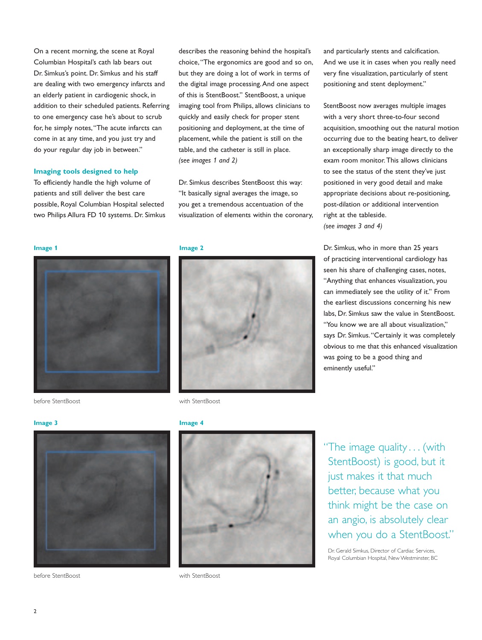On a recent morning, the scene at Royal Columbian Hospital's cath lab bears out Dr. Simkus's point. Dr. Simkus and his staff are dealing with two emergency infarcts and an elderly patient in cardiogenic shock, in addition to their scheduled patients. Referring to one emergency case he's about to scrub for, he simply notes,"The acute infarcts can come in at any time, and you just try and do your regular day job in between."

## **Imaging tools designed to help**

To efficiently handle the high volume of patients and still deliver the best care possible, Royal Columbian Hospital selected two Philips Allura FD 10 systems. Dr. Simkus describes the reasoning behind the hospital's choice,"The ergonomics are good and so on, but they are doing a lot of work in terms of the digital image processing.And one aspect of this is StentBoost." StentBoost, a unique imaging tool from Philips, allows clinicians to quickly and easily check for proper stent positioning and deployment, at the time of placement, while the patient is still on the table, and the catheter is still in place. *(see images 1 and 2)* 

Dr. Simkus describes StentBoost this way: "It basically signal averages the image, so you get a tremendous accentuation of the visualization of elements within the coronary,







before StentBoost with StentBoost

And we use it in cases when you really need very fine visualization, particularly of stent positioning and stent deployment."

and particularly stents and calcification.

StentBoost now averages multiple images with a very short three-to-four second acquisition, smoothing out the natural motion occurring due to the beating heart, to deliver an exceptionally sharp image directly to the exam room monitor.This allows clinicians to see the status of the stent they've just positioned in very good detail and make appropriate decisions about re-positioning, post-dilation or additional intervention right at the tableside. *(see images 3 and 4)* 

Dr. Simkus, who in more than 25 years of practicing interventional cardiology has seen his share of challenging cases, notes, "Anything that enhances visualization, you can immediately see the utility of it." From the earliest discussions concerning his new labs, Dr. Simkus saw the value in StentBoost. "You know we are all about visualization," says Dr. Simkus."Certainly it was completely obvious to me that this enhanced visualization was going to be a good thing and eminently useful."



before StentBoost with StentBoost

**Image 3 Image 4** 



"The image quality . . . (with StentBoost) is good, but it just makes it that much better, because what you think might be the case on an angio, is absolutely clear when you do a StentBoost."

Dr. Gerald Simkus, Director of Cardiac Services, Royal Columbian Hospital, New Westminster, BC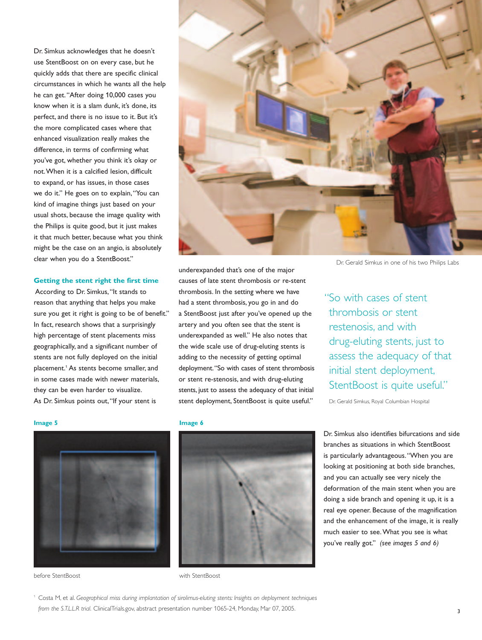Dr. Simkus acknowledges that he doesn't use StentBoost on on every case, but he quickly adds that there are specific clinical circumstances in which he wants all the help he can get."After doing 10,000 cases you know when it is a slam dunk, it's done, its perfect, and there is no issue to it. But it's the more complicated cases where that enhanced visualization really makes the difference, in terms of confirming what you've got, whether you think it's okay or not.When it is a calcified lesion, difficult to expand, or has issues, in those cases we do it." He goes on to explain,"You can kind of imagine things just based on your usual shots, because the image quality with the Philips is quite good, but it just makes it that much better, because what you think might be the case on an angio, is absolutely clear when you do a StentBoost."

### **Getting the stent right the first time**

According to Dr. Simkus,"It stands to reason that anything that helps you make sure you get it right is going to be of benefit." In fact, research shows that a surprisingly high percentage of stent placements miss geographically, and a significant number of stents are not fully deployed on the initial placement.1 As stents become smaller, and in some cases made with newer materials, they can be even harder to visualize. As Dr. Simkus points out,"If your stent is



Dr. Gerald Simkus in one of his two Philips Labs

underexpanded that's one of the major causes of late stent thrombosis or re-stent thrombosis. In the setting where we have had a stent thrombosis, you go in and do a StentBoost just after you've opened up the artery and you often see that the stent is underexpanded as well." He also notes that the wide scale use of drug-eluting stents is adding to the necessity of getting optimal deployment."So with cases of stent thrombosis or stent re-stenosis, and with drug-eluting stents, just to assess the adequacy of that initial stent deployment, StentBoost is quite useful."

"So with cases of stent thrombosis or stent restenosis, and with drug-eluting stents, just to assess the adequacy of that initial stent deployment, StentBoost is quite useful."

Dr. Gerald Simkus, Royal Columbian Hospital

## **Image 5** Image 6





before StentBoost with StentBoost

<sup>1</sup> Costa M, et al. *Geographical miss during implantation of sirolimus-eluting stents: Insights on deployment techniques from the S.T.L.L.R trial.* ClinicalTrials.gov, abstract presentation number 1065-24, Monday, Mar 07, 2005.

Dr. Simkus also identifies bifurcations and side branches as situations in which StentBoost is particularly advantageous."When you are looking at positioning at both side branches, and you can actually see very nicely the deformation of the main stent when you are doing a side branch and opening it up, it is a real eye opener. Because of the magnification and the enhancement of the image, it is really much easier to see.What you see is what you've really got."(I*(see images 5 and 6)*